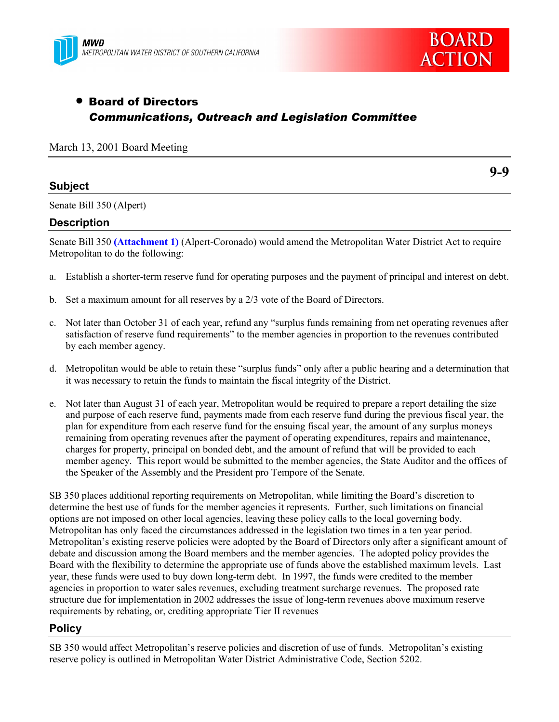



**9-9**

# • Board of Directors *Communications, Outreach and Legislation Committee*

|  |  |  |  | March 13, 2001 Board Meeting |
|--|--|--|--|------------------------------|
|--|--|--|--|------------------------------|

### **Subject**

Senate Bill 350 (Alpert)

### **Description**

Senate Bill 350 **(Attachment 1)** (Alpert-Coronado) would amend the Metropolitan Water District Act to require Metropolitan to do the following:

- a. Establish a shorter-term reserve fund for operating purposes and the payment of principal and interest on debt.
- b. Set a maximum amount for all reserves by a 2/3 vote of the Board of Directors.
- c. Not later than October 31 of each year, refund any "surplus funds remaining from net operating revenues after satisfaction of reserve fund requirements" to the member agencies in proportion to the revenues contributed by each member agency.
- d. Metropolitan would be able to retain these "surplus funds" only after a public hearing and a determination that it was necessary to retain the funds to maintain the fiscal integrity of the District.
- e. Not later than August 31 of each year, Metropolitan would be required to prepare a report detailing the size and purpose of each reserve fund, payments made from each reserve fund during the previous fiscal year, the plan for expenditure from each reserve fund for the ensuing fiscal year, the amount of any surplus moneys remaining from operating revenues after the payment of operating expenditures, repairs and maintenance, charges for property, principal on bonded debt, and the amount of refund that will be provided to each member agency. This report would be submitted to the member agencies, the State Auditor and the offices of the Speaker of the Assembly and the President pro Tempore of the Senate.

SB 350 places additional reporting requirements on Metropolitan, while limiting the Board's discretion to determine the best use of funds for the member agencies it represents. Further, such limitations on financial options are not imposed on other local agencies, leaving these policy calls to the local governing body. Metropolitan has only faced the circumstances addressed in the legislation two times in a ten year period. Metropolitan's existing reserve policies were adopted by the Board of Directors only after a significant amount of debate and discussion among the Board members and the member agencies. The adopted policy provides the Board with the flexibility to determine the appropriate use of funds above the established maximum levels. Last year, these funds were used to buy down long-term debt. In 1997, the funds were credited to the member agencies in proportion to water sales revenues, excluding treatment surcharge revenues. The proposed rate structure due for implementation in 2002 addresses the issue of long-term revenues above maximum reserve requirements by rebating, or, crediting appropriate Tier II revenues

## **Policy**

SB 350 would affect Metropolitan's reserve policies and discretion of use of funds. Metropolitan's existing reserve policy is outlined in Metropolitan Water District Administrative Code, Section 5202.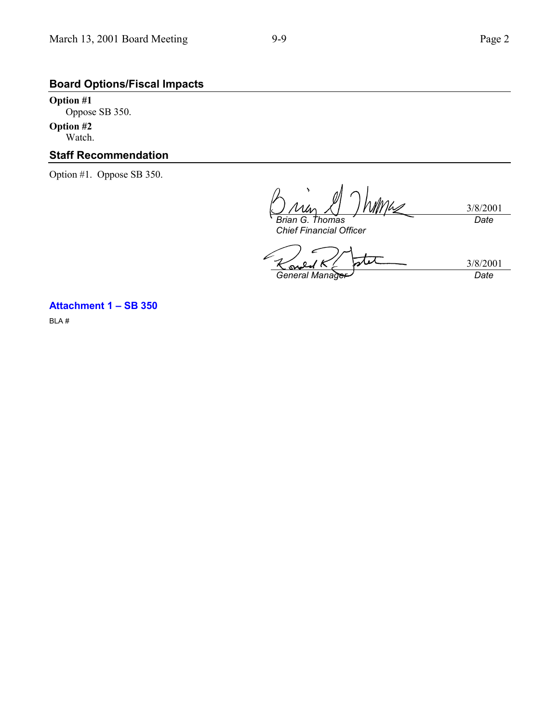# **Board Options/Fiscal Impacts**

**Option #1** Oppose SB 350.

**Option #2** Watch.

## **Staff Recommendation**

Option #1. Oppose SB 350.

Mhs 3/8/2001 *Brian G. Thomas Date*

*Chief Financial Officer*

3/8/2001 Ō S *General Manager Date*

### **Attachment 1 – SB 350**

BLA #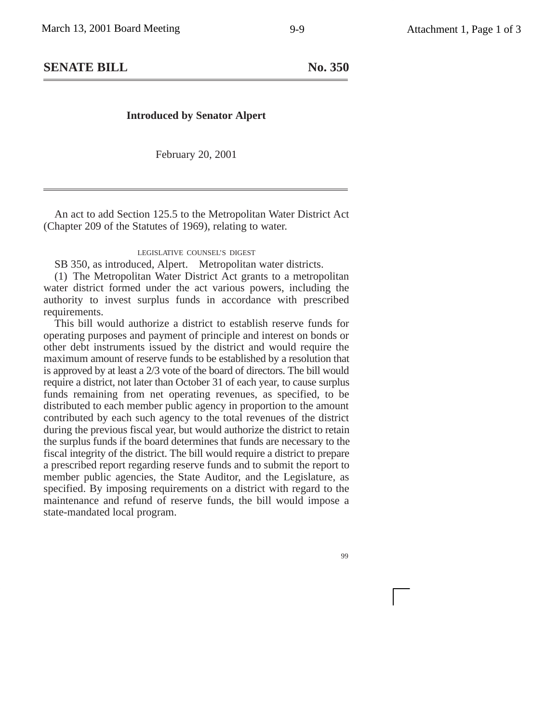## **SENATE BILL** No. 350

### **Introduced by Senator Alpert**

February 20, 2001

An act to add Section 125.5 to the Metropolitan Water District Act (Chapter 209 of the Statutes of 1969), relating to water.

#### LEGISLATIVE COUNSEL'S DIGEST

SB 350, as introduced, Alpert. Metropolitan water districts.

(1) The Metropolitan Water District Act grants to a metropolitan water district formed under the act various powers, including the authority to invest surplus funds in accordance with prescribed requirements.

This bill would authorize a district to establish reserve funds for operating purposes and payment of principle and interest on bonds or other debt instruments issued by the district and would require the maximum amount of reserve funds to be established by a resolution that is approved by at least a 2/3 vote of the board of directors. The bill would require a district, not later than October 31 of each year, to cause surplus funds remaining from net operating revenues, as specified, to be distributed to each member public agency in proportion to the amount contributed by each such agency to the total revenues of the district during the previous fiscal year, but would authorize the district to retain the surplus funds if the board determines that funds are necessary to the fiscal integrity of the district. The bill would require a district to prepare a prescribed report regarding reserve funds and to submit the report to member public agencies, the State Auditor, and the Legislature, as specified. By imposing requirements on a district with regard to the maintenance and refund of reserve funds, the bill would impose a state-mandated local program.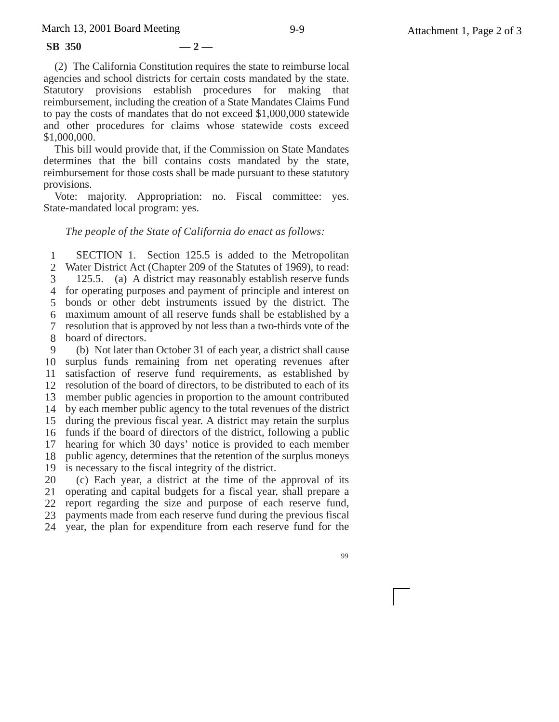#### **SB 350 — 2 —**

(2) The California Constitution requires the state to reimburse local agencies and school districts for certain costs mandated by the state. Statutory provisions establish procedures for making that reimbursement, including the creation of a State Mandates Claims Fund to pay the costs of mandates that do not exceed \$1,000,000 statewide and other procedures for claims whose statewide costs exceed \$1,000,000.

This bill would provide that, if the Commission on State Mandates determines that the bill contains costs mandated by the state, reimbursement for those costs shall be made pursuant to these statutory provisions.

Vote: majority. Appropriation: no. Fiscal committee: yes. State-mandated local program: yes.

#### *The people of the State of California do enact as follows:*

1 2 Water District Act (Chapter 209 of the Statutes of 1969), to read: 3 4 for operating purposes and payment of principle and interest on 5 bonds or other debt instruments issued by the district. The 6 maximum amount of all reserve funds shall be established by a 7 resolution that is approved by not less than a two-thirds vote of the 8 board of directors. 9 SECTION 1. Section 125.5 is added to the Metropolitan 125.5. (a) A district may reasonably establish reserve funds (b) Not later than October 31 of each year, a district shall cause

10 surplus funds remaining from net operating revenues after 11 satisfaction of reserve fund requirements, as established by 12 13 14 15 during the previous fiscal year. A district may retain the surplus 16 funds if the board of directors of the district, following a public 17 18 public agency, determines that the retention of the surplus moneys 19 20 resolution of the board of directors, to be distributed to each of its member public agencies in proportion to the amount contributed by each member public agency to the total revenues of the district hearing for which 30 days' notice is provided to each member is necessary to the fiscal integrity of the district.

21 22 23 24 (c) Each year, a district at the time of the approval of its operating and capital budgets for a fiscal year, shall prepare a report regarding the size and purpose of each reserve fund, payments made from each reserve fund during the previous fiscal year, the plan for expenditure from each reserve fund for the

99